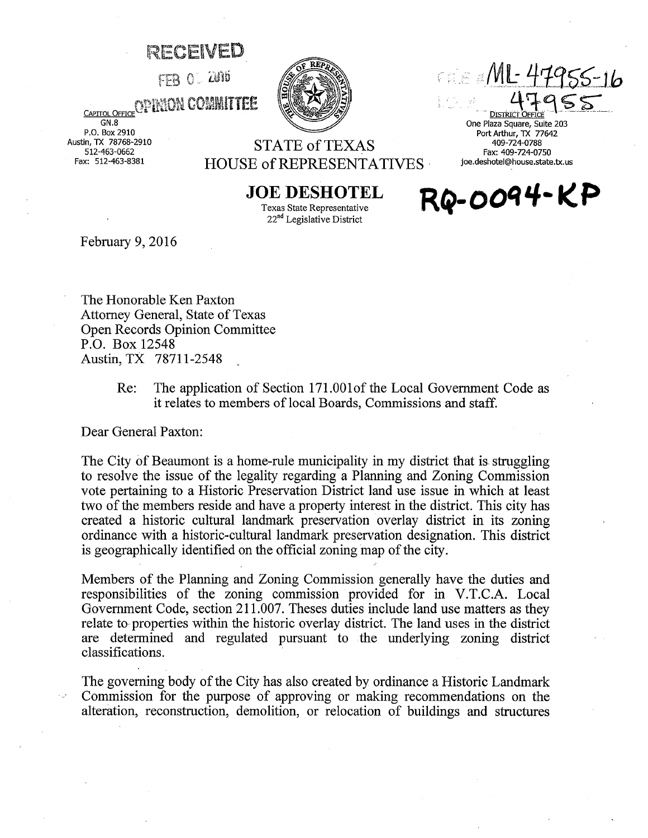## ~~ECEIVED

 $FFR$   $O$   $\sim$   $2016$ 



 $\epsilon$  of  $\epsilon$  and  $M$  : 470  $\pm$ 

DISTRICT OFFIC One Plaza Square, Suite 203 Port Arthur, TX 77642 409-724-0788 Fax: 409-724-0750 joe.deshotel@house.state.tx.us

RQ-0094-KP

CAPITOL OFFICE OF HANDA COMMITTEE

GN.8 P.O. Box 2910 Austin, TX 78768-2910 512-463-0662 Fax: 512-463-8381

## STATE of TEXAS HOUSE of REPRESENTATIVES -

**JOE DESHOTEL**  Texas State Representative  $22<sup>nd</sup>$  Legislative District

February 9, 2016

The Honorable Ken Paxton Attorney General, State of Texas Open Records Opinion Committee P.O. Box 12548 Austin, TX 78711-2548

> Re: The application of Section 171.00lof the Local Government Code as it relates to members of local Boards, Commissions and staff.

Dear General Paxton:

The City of Beaumont is a home-rule municipality in my district that is struggling to resolve the issue of the legality regarding a Planning and Zoning Commission vote pertaining to a Historic Preservation District land use issue in which at least two of the members reside and have a property interest in the district. This city has created a historic cultural landmark preservation overlay district in its zoning ordinance with a historic-cultural landmark preservation designation. This district is geographically identified on the official zoning map of the city.

Members of the Planning and Zoning Commission generally have the duties and responsibilities of the zoning commission provided for in V.T.C.A. Local Government Code, section 211.007. Theses duties include land use matters as they relate to properties within the historic overlay district. The land uses in the district are determined and regulated pursuant to the underlying zoning district classifications.

The governing body of the City has also created by ordinance a Historic Landmark Commission for the purpose of approving or making recommendations on the alteration, reconstruction, demolition, or relocation of buildings and structures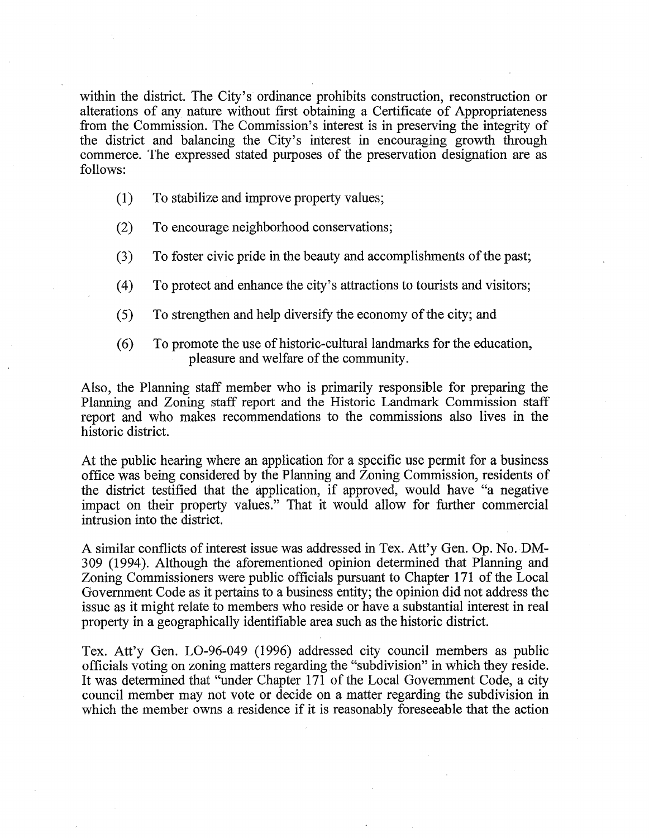within the district. The City's ordinance prohibits construction, reconstruction or alterations of any nature without first obtaining a Certificate of Appropriateness from the Commission. The Commission's interest is in preserving the integrity of the district and balancing the City's interest in encouraging growth through commerce. The expressed stated purposes of the preservation designation are as follows:

- (1) To stabilize and improve property values;
- (2) To encourage neighborhood conservations;
- (3) To foster civic pride in the beauty and accomplishments of the past;
- (4) To protect and enhance the city's attractions to tourists and visitors;
- (5) To strengthen and help diversify the economy of the city; and
- (6) To promote the use of historic-cultural landmarks for the education, pleasure and welfare of the community.

Also, the Planning staff member who is primarily responsible for preparing the Planning and Zoning staff report and the Historic Landmark Commission staff report and who makes recommendations to the commissions also lives in the historic district.

At the public hearing where an application for a specific use permit for a business office was being considered by the Planning and Zoning Commission, residents of the district testified that the application, if approved, would have "a negative impact on their property values." That it would allow for further commercial intrusion into the district.

A similar conflicts of interest issue was addressed in Tex. Att'y Gen. Op. No. DM-309 (1994). Although the aforementioned opinion determined that Planning and Zoning Commissioners were public officials pursuant to Chapter 171 of the Local Government Code as it pertains to a business entity; the opinion did not address the issue as it might relate to members who reside or have a substantial interest in real property in a geographically identifiable area such as the historic district.

Tex. Att'y Gen. L0-96-049 (1996) addressed city council members as public officials voting on zoning matters regarding the "subdivision" in which they reside. It was determined that "under Chapter 171 of the Local Government Code, a city council member may not vote or decide on a matter regarding the subdivision in which the member owns a residence if it is reasonably fore seeable that the action